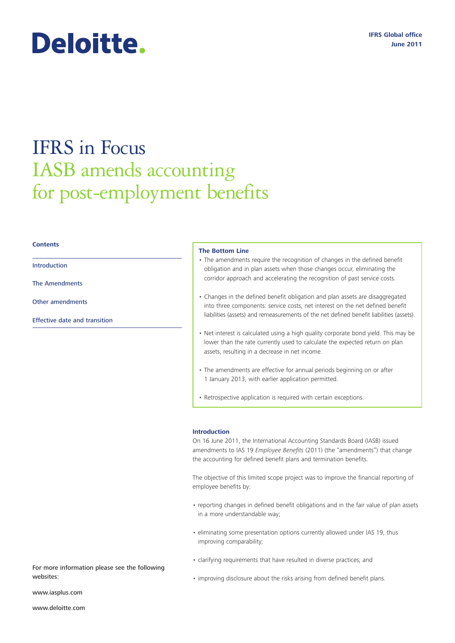# Deloitte.

# IFRS in Focus IASB amends accounting for post-employment benefits

#### **Contents**

Introduction

[The Amendments](#page-1-0)

[Other amendments](#page-2-0)

[Effective date and transition](#page-3-0)

#### **The Bottom Line**

- The amendments require the recognition of changes in the defined benefit obligation and in plan assets when those changes occur, eliminating the corridor approach and accelerating the recognition of past service costs.
- Changes in the defined benefit obligation and plan assets are disaggregated into three components: service costs, net interest on the net defined benefit liabilities (assets) and remeasurements of the net defined benefit liabilities (assets).
- Net interest is calculated using a high quality corporate bond yield. This may be lower than the rate currently used to calculate the expected return on plan assets, resulting in a decrease in net income.
- The amendments are effective for annual periods beginning on or after 1 January 2013, with earlier application permitted.
- Retrospective application is required with certain exceptions.

#### **Introduction**

On 16 June 2011, the International Accounting Standards Board (IASB) issued amendments to IAS 19 *Employee Benefits* (2011) (the "amendments") that change the accounting for defined benefit plans and termination benefits.

The objective of this limited scope project was to improve the financial reporting of employee benefits by:

- reporting changes in defined benefit obligations and in the fair value of plan assets in a more understandable way;
- eliminating some presentation options currently allowed under IAS 19, thus improving comparability;
- clarifying requirements that have resulted in diverse practices; and
- improving disclosure about the risks arising from defined benefit plans.

For more information please see the following websites:

www.iasplus.com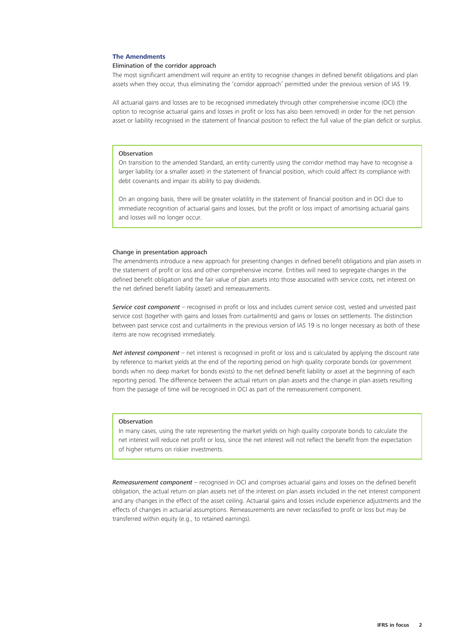#### <span id="page-1-0"></span>**The Amendments**

#### Elimination of the corridor approach

The most significant amendment will require an entity to recognise changes in defined benefit obligations and plan assets when they occur, thus eliminating the 'corridor approach' permitted under the previous version of IAS 19.

All actuarial gains and losses are to be recognised immediately through other comprehensive income (OCI) (the option to recognise actuarial gains and losses in profit or loss has also been removed) in order for the net pension asset or liability recognised in the statement of financial position to reflect the full value of the plan deficit or surplus.

#### **Observation**

On transition to the amended Standard, an entity currently using the corridor method may have to recognise a larger liability (or a smaller asset) in the statement of financial position, which could affect its compliance with debt covenants and impair its ability to pay dividends.

On an ongoing basis, there will be greater volatility in the statement of financial position and in OCI due to immediate recognition of actuarial gains and losses, but the profit or loss impact of amortising actuarial gains and losses will no longer occur.

#### Change in presentation approach

The amendments introduce a new approach for presenting changes in defined benefit obligations and plan assets in the statement of profit or loss and other comprehensive income. Entities will need to segregate changes in the defined benefit obligation and the fair value of plan assets into those associated with service costs, net interest on the net defined benefit liability (asset) and remeasurements.

*Service cost component* – recognised in profit or loss and includes current service cost, vested and unvested past service cost (together with gains and losses from curtailments) and gains or losses on settlements. The distinction between past service cost and curtailments in the previous version of IAS 19 is no longer necessary as both of these items are now recognised immediately.

*Net interest component* – net interest is recognised in profit or loss and is calculated by applying the discount rate by reference to market yields at the end of the reporting period on high quality corporate bonds (or government bonds when no deep market for bonds exists) to the net defined benefit liability or asset at the beginning of each reporting period. The difference between the actual return on plan assets and the change in plan assets resulting from the passage of time will be recognised in OCI as part of the remeasurement component.

#### Observation

In many cases, using the rate representing the market yields on high quality corporate bonds to calculate the net interest will reduce net profit or loss, since the net interest will not reflect the benefit from the expectation of higher returns on riskier investments.

*Remeasurement component* – recognised in OCI and comprises actuarial gains and losses on the defined benefit obligation, the actual return on plan assets net of the interest on plan assets included in the net interest component and any changes in the effect of the asset ceiling. Actuarial gains and losses include experience adjustments and the effects of changes in actuarial assumptions. Remeasurements are never reclassified to profit or loss but may be transferred within equity (e.g., to retained earnings).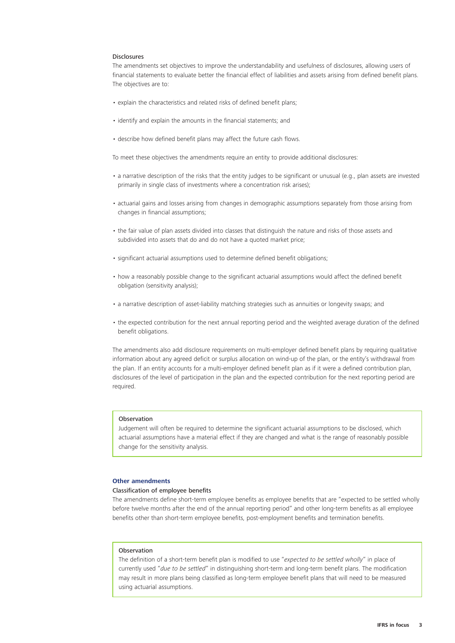#### <span id="page-2-0"></span>Disclosures

The amendments set objectives to improve the understandability and usefulness of disclosures, allowing users of financial statements to evaluate better the financial effect of liabilities and assets arising from defined benefit plans. The objectives are to:

- explain the characteristics and related risks of defined benefit plans;
- identify and explain the amounts in the financial statements; and
- describe how defined benefit plans may affect the future cash flows.

To meet these objectives the amendments require an entity to provide additional disclosures:

- a narrative description of the risks that the entity judges to be significant or unusual (e.g., plan assets are invested primarily in single class of investments where a concentration risk arises);
- actuarial gains and losses arising from changes in demographic assumptions separately from those arising from changes in financial assumptions;
- the fair value of plan assets divided into classes that distinguish the nature and risks of those assets and subdivided into assets that do and do not have a quoted market price;
- significant actuarial assumptions used to determine defined benefit obligations;
- how a reasonably possible change to the significant actuarial assumptions would affect the defined benefit obligation (sensitivity analysis);
- a narrative description of asset-liability matching strategies such as annuities or longevity swaps; and
- the expected contribution for the next annual reporting period and the weighted average duration of the defined benefit obligations.

The amendments also add disclosure requirements on multi-employer defined benefit plans by requiring qualitative information about any agreed deficit or surplus allocation on wind-up of the plan, or the entity's withdrawal from the plan. If an entity accounts for a multi-employer defined benefit plan as if it were a defined contribution plan, disclosures of the level of participation in the plan and the expected contribution for the next reporting period are required.

#### Observation

Judgement will often be required to determine the significant actuarial assumptions to be disclosed, which actuarial assumptions have a material effect if they are changed and what is the range of reasonably possible change for the sensitivity analysis.

#### **Other amendments**

#### Classification of employee benefits

The amendments define short-term employee benefits as employee benefits that are "expected to be settled wholly before twelve months after the end of the annual reporting period" and other long-term benefits as all employee benefits other than short-term employee benefits, post-employment benefits and termination benefits.

#### Observation

The definition of a short-term benefit plan is modified to use "*expected to be settled wholly*" in place of currently used "*due to be settled*" in distinguishing short-term and long-term benefit plans. The modification may result in more plans being classified as long-term employee benefit plans that will need to be measured using actuarial assumptions.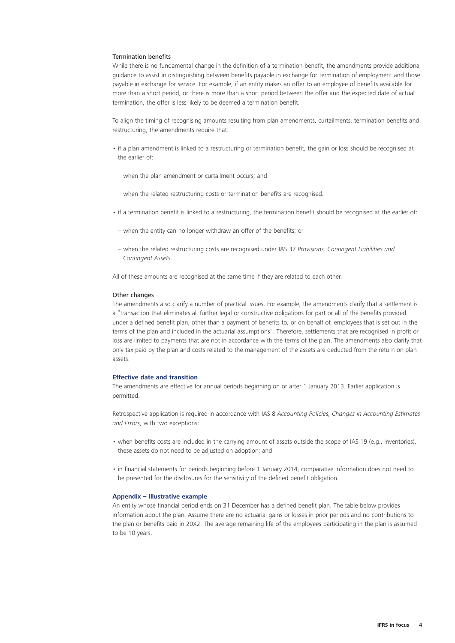#### <span id="page-3-0"></span>Termination benefits

While there is no fundamental change in the definition of a termination benefit, the amendments provide additional guidance to assist in distinguishing between benefits payable in exchange for termination of employment and those payable in exchange for service. For example, if an entity makes an offer to an employee of benefits available for more than a short period, or there is more than a short period between the offer and the expected date of actual termination, the offer is less likely to be deemed a termination benefit.

To align the timing of recognising amounts resulting from plan amendments, curtailments, termination benefits and restructuring, the amendments require that:

- if a plan amendment is linked to a restructuring or termination benefit, the gain or loss should be recognised at the earlier of:
- when the plan amendment or curtailment occurs; and
- when the related restructuring costs or termination benefits are recognised.
- if a termination benefit is linked to a restructuring, the termination benefit should be recognised at the earlier of:
- when the entity can no longer withdraw an offer of the benefits; or
- when the related restructuring costs are recognised under IAS 37 *Provisions, Contingent Liabilities and Contingent Assets*.

All of these amounts are recognised at the same time if they are related to each other.

#### Other changes

The amendments also clarify a number of practical issues. For example, the amendments clarify that a settlement is a "transaction that eliminates all further legal or constructive obligations for part or all of the benefits provided under a defined benefit plan, other than a payment of benefits to, or on behalf of, employees that is set out in the terms of the plan and included in the actuarial assumptions". Therefore, settlements that are recognised in profit or loss are limited to payments that are not in accordance with the terms of the plan. The amendments also clarify that only tax paid by the plan and costs related to the management of the assets are deducted from the return on plan assets.

#### **Effective date and transition**

The amendments are effective for annual periods beginning on or after 1 January 2013. Earlier application is permitted.

Retrospective application is required in accordance with IAS 8 *Accounting Policies, Changes in Accounting Estimates and Errors*, with two exceptions:

- when benefits costs are included in the carrying amount of assets outside the scope of IAS 19 (e.g., inventories), these assets do not need to be adjusted on adoption; and
- in financial statements for periods beginning before 1 January 2014, comparative information does not need to be presented for the disclosures for the sensitivity of the defined benefit obligation.

#### **Appendix – Illustrative example**

An entity whose financial period ends on 31 December has a defined benefit plan. The table below provides information about the plan. Assume there are no actuarial gains or losses in prior periods and no contributions to the plan or benefits paid in 20X2. The average remaining life of the employees participating in the plan is assumed to be 10 years.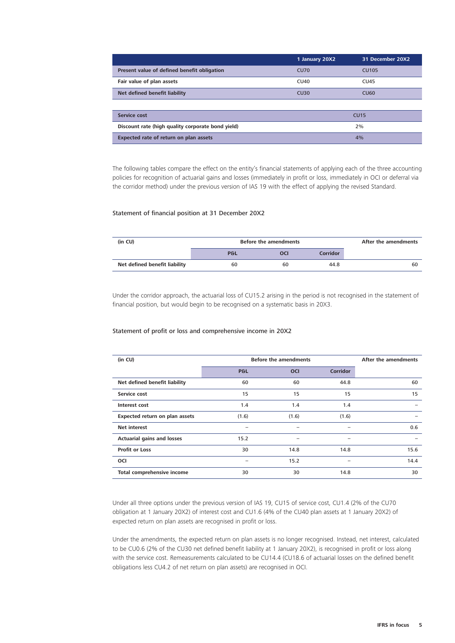|                                                   | 1 January 20X2 | 31 December 20X2 |
|---------------------------------------------------|----------------|------------------|
| Present value of defined benefit obligation       | <b>CU70</b>    | <b>CU105</b>     |
| Fair value of plan assets                         | CU40           | <b>CU45</b>      |
| Net defined benefit liability                     | CU30           | <b>CU60</b>      |
|                                                   |                |                  |
| Service cost                                      | <b>CU15</b>    |                  |
| Discount rate (high quality corporate bond yield) | 2%             |                  |
| Expected rate of return on plan assets            | 4%             |                  |

The following tables compare the effect on the entity's financial statements of applying each of the three accounting policies for recognition of actuarial gains and losses (immediately in profit or loss, immediately in OCI or deferral via the corridor method) under the previous version of IAS 19 with the effect of applying the revised Standard.

#### Statement of financial position at 31 December 20X2

| (in CU)                       | <b>Before the amendments</b> | After the amendments |          |    |
|-------------------------------|------------------------------|----------------------|----------|----|
|                               | P&L                          | oci                  | Corridor |    |
| Net defined benefit liability | 60                           | 60                   | 44.8     | 60 |

Under the corridor approach, the actuarial loss of CU15.2 arising in the period is not recognised in the statement of financial position, but would begin to be recognised on a systematic basis in 20X3.

#### Statement of profit or loss and comprehensive income in 20X2

| (in CU)                           | <b>Before the amendments</b> | After the amendments |                          |      |
|-----------------------------------|------------------------------|----------------------|--------------------------|------|
|                                   | P&L                          | <b>OCI</b>           | <b>Corridor</b>          |      |
| Net defined benefit liability     | 60                           | 60                   | 44.8                     | 60   |
| Service cost                      | 15                           | 15                   | 15                       | 15   |
| Interest cost                     | 1.4                          | 1.4                  | 1.4                      |      |
| Expected return on plan assets    | (1.6)                        | (1.6)                | (1.6)                    |      |
| <b>Net interest</b>               | -                            |                      | -                        | 0.6  |
| <b>Actuarial gains and losses</b> | 15.2                         |                      |                          |      |
| <b>Profit or Loss</b>             | 30                           | 14.8                 | 14.8                     | 15.6 |
| <b>OCI</b>                        | -                            | 15.2                 | $\overline{\phantom{0}}$ | 14.4 |
| Total comprehensive income        | 30                           | 30                   | 14.8                     | 30   |

Under all three options under the previous version of IAS 19, CU15 of service cost, CU1.4 (2% of the CU70 obligation at 1 January 20X2) of interest cost and CU1.6 (4% of the CU40 plan assets at 1 January 20X2) of expected return on plan assets are recognised in profit or loss.

Under the amendments, the expected return on plan assets is no longer recognised. Instead, net interest, calculated to be CU0.6 (2% of the CU30 net defined benefit liability at 1 January 20X2), is recognised in profit or loss along with the service cost. Remeasurements calculated to be CU14.4 (CU18.6 of actuarial losses on the defined benefit obligations less CU4.2 of net return on plan assets) are recognised in OCI.